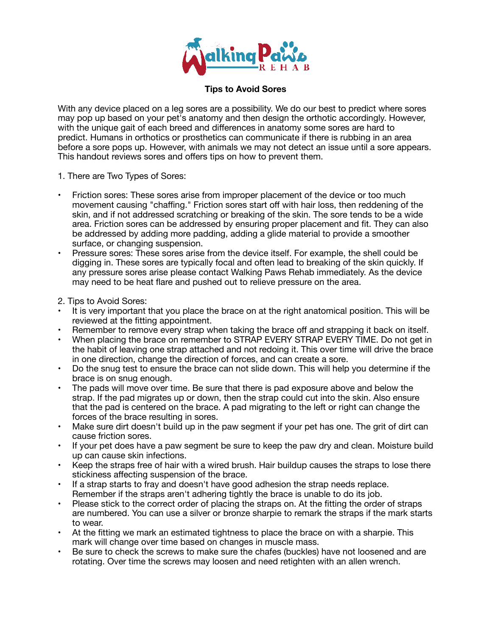

## **Tips to Avoid Sores**

With any device placed on a leg sores are a possibility. We do our best to predict where sores may pop up based on your pet's anatomy and then design the orthotic accordingly. However, with the unique gait of each breed and differences in anatomy some sores are hard to predict. Humans in orthotics or prosthetics can communicate if there is rubbing in an area before a sore pops up. However, with animals we may not detect an issue until a sore appears. This handout reviews sores and offers tips on how to prevent them.

- 1. There are Two Types of Sores:
- Friction sores: These sores arise from improper placement of the device or too much movement causing "chaffing." Friction sores start off with hair loss, then reddening of the skin, and if not addressed scratching or breaking of the skin. The sore tends to be a wide area. Friction sores can be addressed by ensuring proper placement and fit. They can also be addressed by adding more padding, adding a glide material to provide a smoother surface, or changing suspension.
- Pressure sores: These sores arise from the device itself. For example, the shell could be digging in. These sores are typically focal and often lead to breaking of the skin quickly. If any pressure sores arise please contact Walking Paws Rehab immediately. As the device may need to be heat flare and pushed out to relieve pressure on the area.
- 2. Tips to Avoid Sores:
- It is very important that you place the brace on at the right anatomical position. This will be reviewed at the fitting appointment.
- Remember to remove every strap when taking the brace off and strapping it back on itself.
- When placing the brace on remember to STRAP EVERY STRAP EVERY TIME. Do not get in the habit of leaving one strap attached and not redoing it. This over time will drive the brace in one direction, change the direction of forces, and can create a sore.
- Do the snug test to ensure the brace can not slide down. This will help you determine if the brace is on snug enough.
- The pads will move over time. Be sure that there is pad exposure above and below the strap. If the pad migrates up or down, then the strap could cut into the skin. Also ensure that the pad is centered on the brace. A pad migrating to the left or right can change the forces of the brace resulting in sores.
- Make sure dirt doesn't build up in the paw segment if your pet has one. The grit of dirt can cause friction sores.
- If your pet does have a paw segment be sure to keep the paw dry and clean. Moisture build up can cause skin infections.
- Keep the straps free of hair with a wired brush. Hair buildup causes the straps to lose there stickiness affecting suspension of the brace.
- If a strap starts to fray and doesn't have good adhesion the strap needs replace. Remember if the straps aren't adhering tightly the brace is unable to do its job.
- Please stick to the correct order of placing the straps on. At the fitting the order of straps are numbered. You can use a silver or bronze sharpie to remark the straps if the mark starts to wear.
- At the fitting we mark an estimated tightness to place the brace on with a sharpie. This mark will change over time based on changes in muscle mass.
- Be sure to check the screws to make sure the chafes (buckles) have not loosened and are rotating. Over time the screws may loosen and need retighten with an allen wrench.